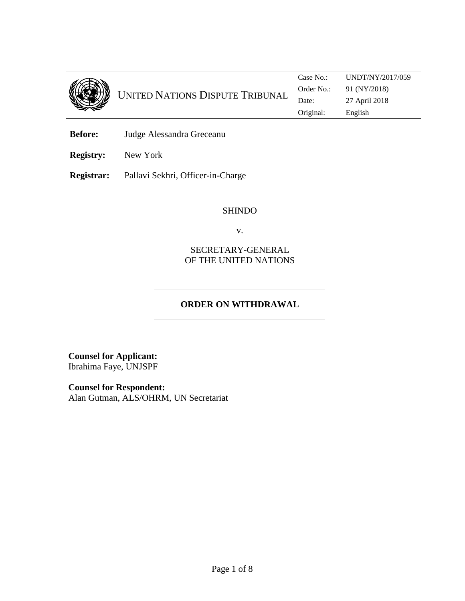

UNITED NATIONS DISPUTE TRIBUNAL Case No.: UNDT/NY/2017/059 Order No.: 91 (NY/2018) Date: 27 April 2018 Original: English

**Before:** Judge Alessandra Greceanu

**Registry:** New York

**Registrar:** Pallavi Sekhri, Officer-in-Charge

#### SHINDO

v.

SECRETARY-GENERAL OF THE UNITED NATIONS

## **ORDER ON WITHDRAWAL**

**Counsel for Applicant:** Ibrahima Faye, UNJSPF

**Counsel for Respondent:** Alan Gutman, ALS/OHRM, UN Secretariat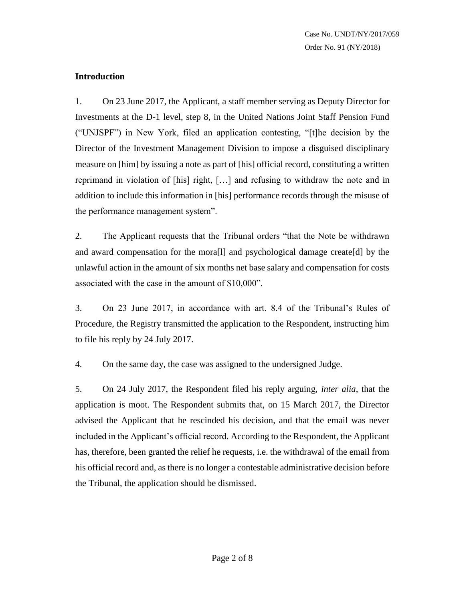### **Introduction**

1. On 23 June 2017, the Applicant, a staff member serving as Deputy Director for Investments at the D-1 level, step 8, in the United Nations Joint Staff Pension Fund ("UNJSPF") in New York, filed an application contesting, "[t]he decision by the Director of the Investment Management Division to impose a disguised disciplinary measure on [him] by issuing a note as part of [his] official record, constituting a written reprimand in violation of [his] right, […] and refusing to withdraw the note and in addition to include this information in [his] performance records through the misuse of the performance management system".

2. The Applicant requests that the Tribunal orders "that the Note be withdrawn and award compensation for the mora[l] and psychological damage create[d] by the unlawful action in the amount of six months net base salary and compensation for costs associated with the case in the amount of \$10,000".

3. On 23 June 2017, in accordance with art. 8.4 of the Tribunal's Rules of Procedure, the Registry transmitted the application to the Respondent, instructing him to file his reply by 24 July 2017.

4. On the same day, the case was assigned to the undersigned Judge.

5. On 24 July 2017, the Respondent filed his reply arguing, *inter alia*, that the application is moot. The Respondent submits that, on 15 March 2017, the Director advised the Applicant that he rescinded his decision, and that the email was never included in the Applicant's official record. According to the Respondent, the Applicant has, therefore, been granted the relief he requests, i.e. the withdrawal of the email from his official record and, as there is no longer a contestable administrative decision before the Tribunal, the application should be dismissed.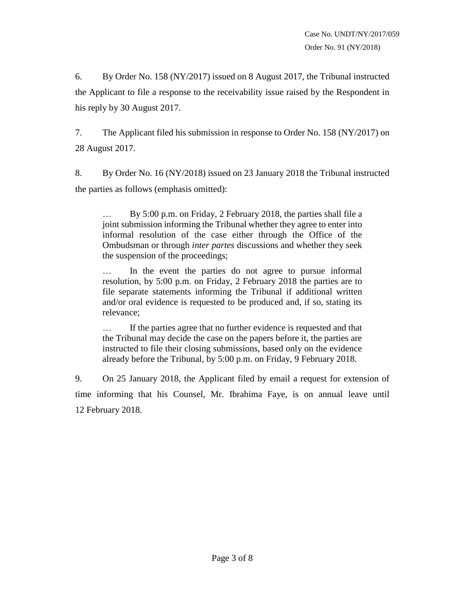6. By Order No. 158 (NY/2017) issued on 8 August 2017, the Tribunal instructed the Applicant to file a response to the receivability issue raised by the Respondent in his reply by 30 August 2017.

7. The Applicant filed his submission in response to Order No. 158 (NY/2017) on 28 August 2017.

8. By Order No. 16 (NY/2018) issued on 23 January 2018 the Tribunal instructed the parties as follows (emphasis omitted):

By 5:00 p.m. on Friday, 2 February 2018, the parties shall file a joint submission informing the Tribunal whether they agree to enter into informal resolution of the case either through the Office of the Ombudsman or through *inter partes* discussions and whether they seek the suspension of the proceedings;

… In the event the parties do not agree to pursue informal resolution, by 5:00 p.m. on Friday, 2 February 2018 the parties are to file separate statements informing the Tribunal if additional written and/or oral evidence is requested to be produced and, if so, stating its relevance;

… If the parties agree that no further evidence is requested and that the Tribunal may decide the case on the papers before it, the parties are instructed to file their closing submissions, based only on the evidence already before the Tribunal, by 5:00 p.m. on Friday, 9 February 2018.

9. On 25 January 2018, the Applicant filed by email a request for extension of time informing that his Counsel, Mr. Ibrahima Faye, is on annual leave until 12 February 2018.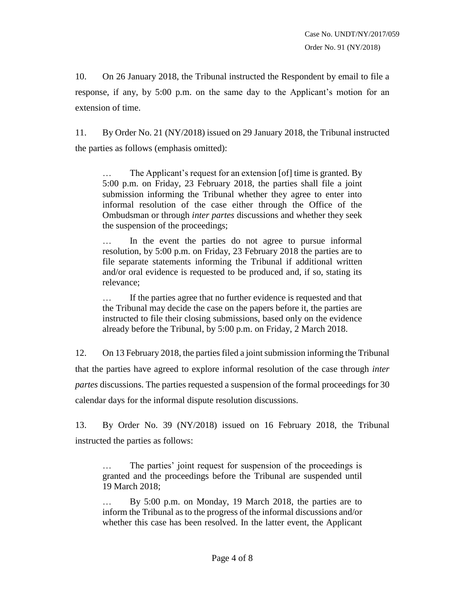10. On 26 January 2018, the Tribunal instructed the Respondent by email to file a response, if any, by 5:00 p.m. on the same day to the Applicant's motion for an extension of time.

11. By Order No. 21 (NY/2018) issued on 29 January 2018, the Tribunal instructed the parties as follows (emphasis omitted):

The Applicant's request for an extension [of] time is granted. By 5:00 p.m. on Friday, 23 February 2018, the parties shall file a joint submission informing the Tribunal whether they agree to enter into informal resolution of the case either through the Office of the Ombudsman or through *inter partes* discussions and whether they seek the suspension of the proceedings;

… In the event the parties do not agree to pursue informal resolution, by 5:00 p.m. on Friday, 23 February 2018 the parties are to file separate statements informing the Tribunal if additional written and/or oral evidence is requested to be produced and, if so, stating its relevance;

… If the parties agree that no further evidence is requested and that the Tribunal may decide the case on the papers before it, the parties are instructed to file their closing submissions, based only on the evidence already before the Tribunal, by 5:00 p.m. on Friday, 2 March 2018.

12. On 13 February 2018, the parties filed a joint submission informing the Tribunal that the parties have agreed to explore informal resolution of the case through *inter partes* discussions. The parties requested a suspension of the formal proceedings for 30 calendar days for the informal dispute resolution discussions.

13. By Order No. 39 (NY/2018) issued on 16 February 2018, the Tribunal instructed the parties as follows:

… The parties' joint request for suspension of the proceedings is granted and the proceedings before the Tribunal are suspended until 19 March 2018;

By 5:00 p.m. on Monday, 19 March 2018, the parties are to inform the Tribunal as to the progress of the informal discussions and/or whether this case has been resolved. In the latter event, the Applicant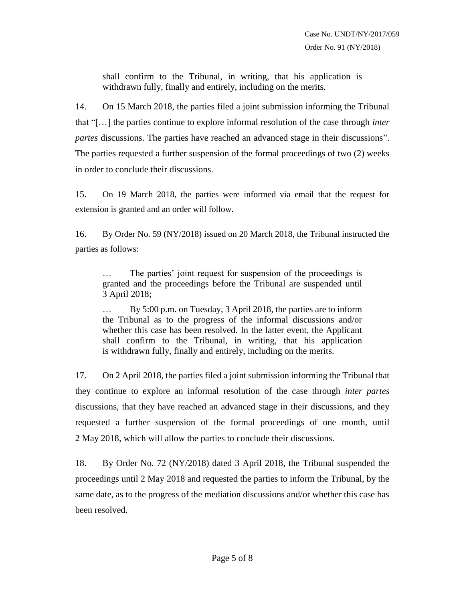shall confirm to the Tribunal, in writing, that his application is withdrawn fully, finally and entirely, including on the merits.

14. On 15 March 2018, the parties filed a joint submission informing the Tribunal that "[…] the parties continue to explore informal resolution of the case through *inter partes* discussions. The parties have reached an advanced stage in their discussions". The parties requested a further suspension of the formal proceedings of two (2) weeks in order to conclude their discussions.

15. On 19 March 2018, the parties were informed via email that the request for extension is granted and an order will follow.

16. By Order No. 59 (NY/2018) issued on 20 March 2018, the Tribunal instructed the parties as follows:

… The parties' joint request for suspension of the proceedings is granted and the proceedings before the Tribunal are suspended until 3 April 2018;

… By 5:00 p.m. on Tuesday, 3 April 2018, the parties are to inform the Tribunal as to the progress of the informal discussions and/or whether this case has been resolved. In the latter event, the Applicant shall confirm to the Tribunal, in writing, that his application is withdrawn fully, finally and entirely, including on the merits.

17. On 2 April 2018, the parties filed a joint submission informing the Tribunal that they continue to explore an informal resolution of the case through *inter partes* discussions, that they have reached an advanced stage in their discussions, and they requested a further suspension of the formal proceedings of one month, until 2 May 2018, which will allow the parties to conclude their discussions.

18. By Order No. 72 (NY/2018) dated 3 April 2018, the Tribunal suspended the proceedings until 2 May 2018 and requested the parties to inform the Tribunal, by the same date, as to the progress of the mediation discussions and/or whether this case has been resolved.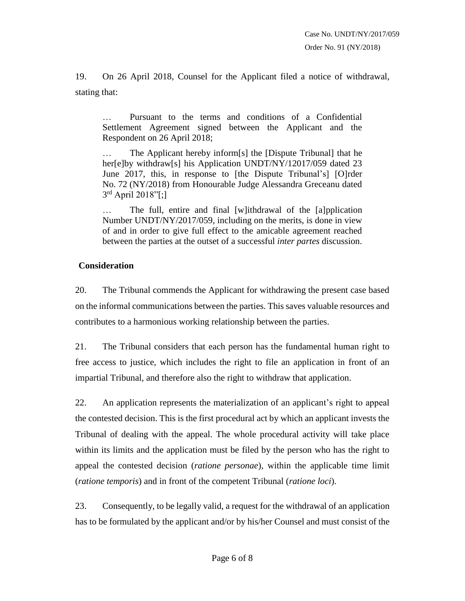19. On 26 April 2018, Counsel for the Applicant filed a notice of withdrawal, stating that:

… Pursuant to the terms and conditions of a Confidential Settlement Agreement signed between the Applicant and the Respondent on 26 April 2018;

… The Applicant hereby inform[s] the [Dispute Tribunal] that he her[e]by withdraw[s] his Application UNDT/NY/12017/059 dated 23 June 2017, this, in response to [the Dispute Tribunal's] [O]rder No. 72 (NY/2018) from Honourable Judge Alessandra Greceanu dated 3<sup>rd</sup> April 2018"[;]

The full, entire and final [w]ithdrawal of the [a]pplication Number UNDT/NY/2017/059, including on the merits, is done in view of and in order to give full effect to the amicable agreement reached between the parties at the outset of a successful *inter partes* discussion.

### **Consideration**

20. The Tribunal commends the Applicant for withdrawing the present case based on the informal communications between the parties. This saves valuable resources and contributes to a harmonious working relationship between the parties.

21. The Tribunal considers that each person has the fundamental human right to free access to justice, which includes the right to file an application in front of an impartial Tribunal, and therefore also the right to withdraw that application.

22. An application represents the materialization of an applicant's right to appeal the contested decision. This is the first procedural act by which an applicant invests the Tribunal of dealing with the appeal. The whole procedural activity will take place within its limits and the application must be filed by the person who has the right to appeal the contested decision (*ratione personae*), within the applicable time limit (*ratione temporis*) and in front of the competent Tribunal (*ratione loci*).

23. Consequently, to be legally valid, a request for the withdrawal of an application has to be formulated by the applicant and/or by his/her Counsel and must consist of the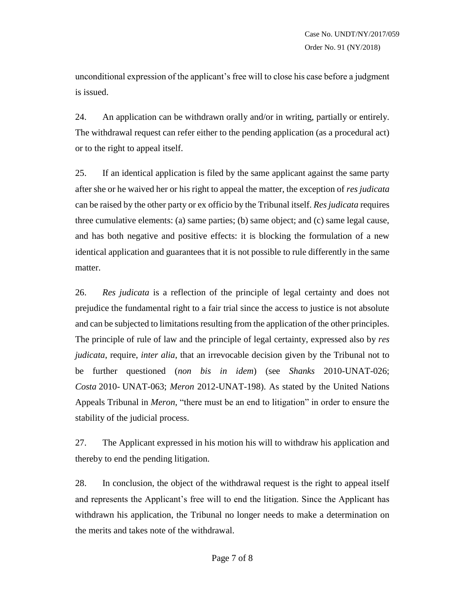unconditional expression of the applicant's free will to close his case before a judgment is issued.

24. An application can be withdrawn orally and/or in writing, partially or entirely. The withdrawal request can refer either to the pending application (as a procedural act) or to the right to appeal itself.

25. If an identical application is filed by the same applicant against the same party after she or he waived her or his right to appeal the matter, the exception of *res judicata* can be raised by the other party or ex officio by the Tribunal itself. *Res judicata* requires three cumulative elements: (a) same parties; (b) same object; and (c) same legal cause, and has both negative and positive effects: it is blocking the formulation of a new identical application and guarantees that it is not possible to rule differently in the same matter.

26. *Res judicata* is a reflection of the principle of legal certainty and does not prejudice the fundamental right to a fair trial since the access to justice is not absolute and can be subjected to limitations resulting from the application of the other principles. The principle of rule of law and the principle of legal certainty, expressed also by *res judicata*, require, *inter alia*, that an irrevocable decision given by the Tribunal not to be further questioned (*non bis in idem*) (see *Shanks* 2010-UNAT-026; *Costa* 2010- UNAT-063; *Meron* 2012-UNAT-198). As stated by the United Nations Appeals Tribunal in *Meron*, "there must be an end to litigation" in order to ensure the stability of the judicial process.

27. The Applicant expressed in his motion his will to withdraw his application and thereby to end the pending litigation.

28. In conclusion, the object of the withdrawal request is the right to appeal itself and represents the Applicant's free will to end the litigation. Since the Applicant has withdrawn his application, the Tribunal no longer needs to make a determination on the merits and takes note of the withdrawal.